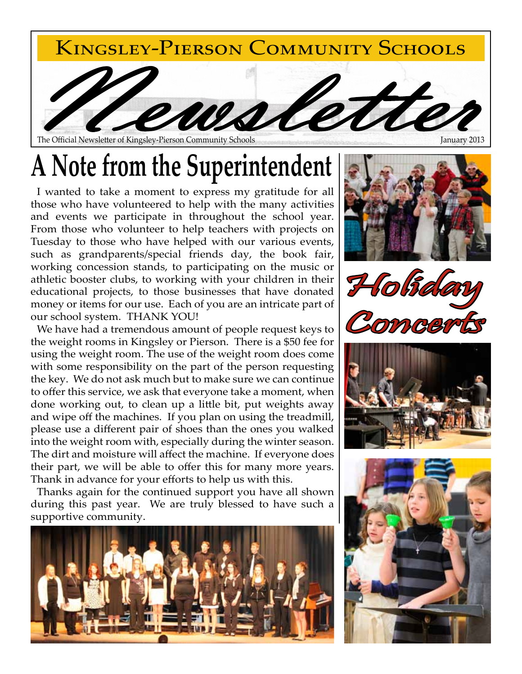

#### The Official Newsletter of Kingsley-Pierson Community Schools

# **A Note from the Superintendent**

I wanted to take a moment to express my gratitude for all those who have volunteered to help with the many activities and events we participate in throughout the school year. From those who volunteer to help teachers with projects on Tuesday to those who have helped with our various events, such as grandparents/special friends day, the book fair, working concession stands, to participating on the music or athletic booster clubs, to working with your children in their educational projects, to those businesses that have donated money or items for our use. Each of you are an intricate part of our school system. THANK YOU!

We have had a tremendous amount of people request keys to the weight rooms in Kingsley or Pierson. There is a \$50 fee for using the weight room. The use of the weight room does come with some responsibility on the part of the person requesting the key. We do not ask much but to make sure we can continue to offer this service, we ask that everyone take a moment, when done working out, to clean up a little bit, put weights away and wipe off the machines. If you plan on using the treadmill, please use a different pair of shoes than the ones you walked into the weight room with, especially during the winter season. The dirt and moisture will affect the machine. If everyone does their part, we will be able to offer this for many more years. Thank in advance for your efforts to help us with this.

Thanks again for the continued support you have all shown during this past year. We are truly blessed to have such a supportive community.









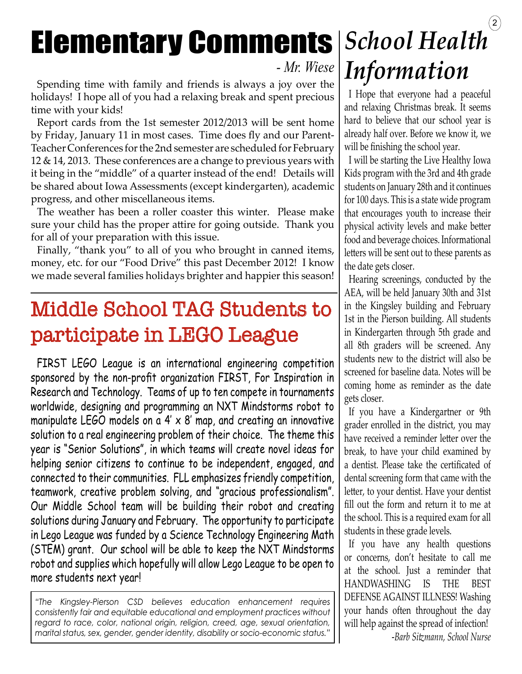# Elementary Comments *School Health*

### *- Mr. Wiese*

Spending time with family and friends is always a joy over the holidays! I hope all of you had a relaxing break and spent precious time with your kids!

Report cards from the 1st semester 2012/2013 will be sent home by Friday, January 11 in most cases. Time does fly and our Parent-Teacher Conferences for the 2nd semester are scheduled for February 12 & 14, 2013. These conferences are a change to previous years with it being in the "middle" of a quarter instead of the end! Details will be shared about Iowa Assessments (except kindergarten), academic progress, and other miscellaneous items.

The weather has been a roller coaster this winter. Please make sure your child has the proper attire for going outside. Thank you for all of your preparation with this issue.

Finally, "thank you" to all of you who brought in canned items, money, etc. for our "Food Drive" this past December 2012! I know we made several families holidays brighter and happier this season!

## Middle School TAG Students to participate in LEGO League

FIRST LEGO League is an international engineering competition sponsored by the non-profit organization FIRST, For Inspiration in Research and Technology. Teams of up to ten compete in tournaments worldwide, designing and programming an NXT Mindstorms robot to manipulate LEGO models on a  $4' \times 8'$  map, and creating an innovative solution to a real engineering problem of their choice. The theme this year is "Senior Solutions", in which teams will create novel ideas for helping senior citizens to continue to be independent, engaged, and connected to their communities. FLL emphasizes friendly competition, teamwork, creative problem solving, and "gracious professionalism". Our Middle School team will be building their robot and creating solutions during January and February. The opportunity to participate in Lego League was funded by a Science Technology Engineering Math (STEM) grant. Our school will be able to keep the NXT Mindstorms robot and supplies which hopefully will allow Lego League to be open to more students next year!

*"The Kingsley-Pierson CSD believes education enhancement requires consistently fair and equitable educational and employment practices without regard to race, color, national origin, religion, creed, age, sexual orientation, marital status, sex, gender, gender identity, disability or socio-economic status."*

# $\left( 2\right)$ *Information*

I Hope that everyone had a peaceful and relaxing Christmas break. It seems hard to believe that our school year is already half over. Before we know it, we will be finishing the school year.

I will be starting the Live Healthy Iowa Kids program with the 3rd and 4th grade students on January 28th and it continues for 100 days. This is a state wide program that encourages youth to increase their physical activity levels and make better food and beverage choices. Informational letters will be sent out to these parents as the date gets closer.

Hearing screenings, conducted by the AEA, will be held January 30th and 31st in the Kingsley building and February 1st in the Pierson building. All students in Kindergarten through 5th grade and all 8th graders will be screened. Any students new to the district will also be screened for baseline data. Notes will be coming home as reminder as the date gets closer.

If you have a Kindergartner or 9th grader enrolled in the district, you may have received a reminder letter over the break, to have your child examined by a dentist. Please take the certificated of dental screening form that came with the letter, to your dentist. Have your dentist fill out the form and return it to me at the school. This is a required exam for all students in these grade levels.

If you have any health questions or concerns, don't hesitate to call me at the school. Just a reminder that HANDWASHING IS THE BEST DEFENSE AGAINST ILLNESS! Washing your hands often throughout the day will help against the spread of infection!

-*Barb Sitzmann, School Nurse*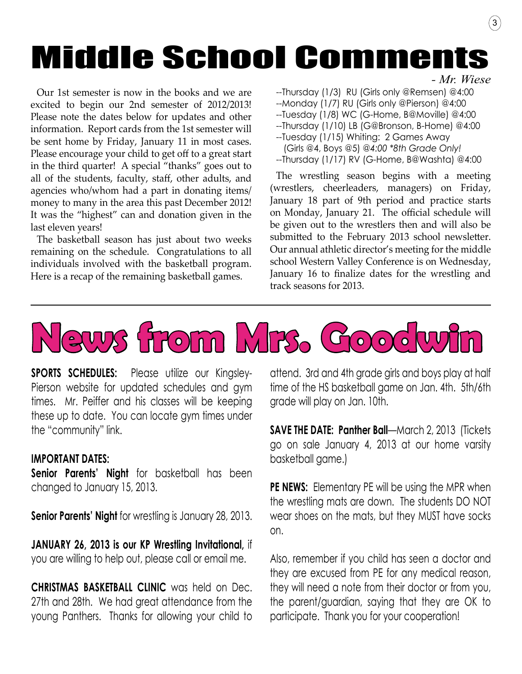# Middle School Comments

Our 1st semester is now in the books and we are excited to begin our 2nd semester of 2012/2013! Please note the dates below for updates and other information. Report cards from the 1st semester will be sent home by Friday, January 11 in most cases. Please encourage your child to get off to a great start in the third quarter! A special "thanks" goes out to all of the students, faculty, staff, other adults, and agencies who/whom had a part in donating items/ money to many in the area this past December 2012! It was the "highest" can and donation given in the last eleven years!

The basketball season has just about two weeks remaining on the schedule. Congratulations to all individuals involved with the basketball program. Here is a recap of the remaining basketball games.

*- Mr. Wiese*

3

--Thursday (1/3) RU (Girls only @Remsen) @4:00

--Monday (1/7) RU (Girls only @Pierson) @4:00

--Tuesday (1/8) WC (G-Home, B@Moville) @4:00

--Thursday (1/10) LB (G@Bronson, B-Home) @4:00

- --Tuesday (1/15) Whiting: 2 Games Away
- (Girls @4, Boys @5) *@4:00 \*8th Grade Only!* --Thursday (1/17) RV (G-Home, B@Washta) @4:00

The wrestling season begins with a meeting (wrestlers, cheerleaders, managers) on Friday, January 18 part of 9th period and practice starts on Monday, January 21. The official schedule will be given out to the wrestlers then and will also be submitted to the February 2013 school newsletter. Our annual athletic director's meeting for the middle school Western Valley Conference is on Wednesday, January 16 to finalize dates for the wrestling and track seasons for 2013.



**SPORTS SCHEDULES:** Please utilize our Kingsley-Pierson website for updated schedules and gym times. Mr. Peiffer and his classes will be keeping these up to date. You can locate gym times under the "community" link.

#### **IMPORTANT DATES:**

**Senior Parents' Night** for basketball has been changed to January 15, 2013.

**Senior Parents' Night** for wrestling is January 28, 2013.

**JANUARY 26, 2013 is our KP Wrestling Invitational,** if you are willing to help out, please call or email me.

**CHRISTMAS BASKETBALL CLINIC** was held on Dec. 27th and 28th. We had great attendance from the young Panthers. Thanks for allowing your child to attend. 3rd and 4th grade girls and boys play at half time of the HS basketball game on Jan. 4th. 5th/6th grade will play on Jan. 10th.

**SAVE THE DATE: Panther Ball**—March 2, 2013 (Tickets go on sale January 4, 2013 at our home varsity basketball game.)

**PE NEWS:** Elementary PE will be using the MPR when the wrestling mats are down. The students DO NOT wear shoes on the mats, but they MUST have socks on.

Also, remember if you child has seen a doctor and they are excused from PE for any medical reason, they will need a note from their doctor or from you, the parent/guardian, saying that they are OK to participate. Thank you for your cooperation!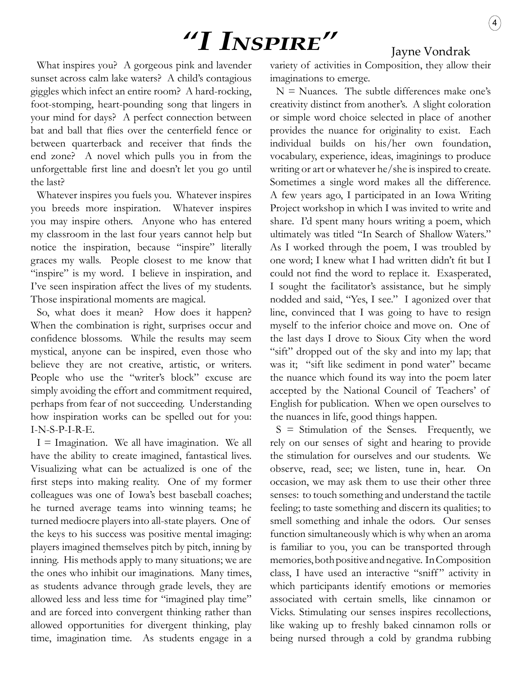## **"I INSPIRE"** Jayne Vondrak

What inspires you? A gorgeous pink and lavender sunset across calm lake waters? A child's contagious giggles which infect an entire room? A hard-rocking, foot-stomping, heart-pounding song that lingers in your mind for days? A perfect connection between bat and ball that flies over the centerfield fence or between quarterback and receiver that finds the end zone? A novel which pulls you in from the unforgettable first line and doesn't let you go until the last?

Whatever inspires you fuels you. Whatever inspires you breeds more inspiration. Whatever inspires you may inspire others. Anyone who has entered my classroom in the last four years cannot help but notice the inspiration, because "inspire" literally graces my walls. People closest to me know that "inspire" is my word. I believe in inspiration, and I've seen inspiration affect the lives of my students. Those inspirational moments are magical.

So, what does it mean? How does it happen? When the combination is right, surprises occur and confidence blossoms. While the results may seem mystical, anyone can be inspired, even those who believe they are not creative, artistic, or writers. People who use the "writer's block" excuse are simply avoiding the effort and commitment required, perhaps from fear of not succeeding. Understanding how inspiration works can be spelled out for you: I-N-S-P-I-R-E.

 $I = I$  magination. We all have imagination. We all have the ability to create imagined, fantastical lives. Visualizing what can be actualized is one of the first steps into making reality. One of my former colleagues was one of Iowa's best baseball coaches; he turned average teams into winning teams; he turned mediocre players into all-state players. One of the keys to his success was positive mental imaging: players imagined themselves pitch by pitch, inning by inning. His methods apply to many situations; we are the ones who inhibit our imaginations. Many times, as students advance through grade levels, they are allowed less and less time for "imagined play time" and are forced into convergent thinking rather than allowed opportunities for divergent thinking, play time, imagination time. As students engage in a variety of activities in Composition, they allow their imaginations to emerge.

 $N =$  Nuances. The subtle differences make one's creativity distinct from another's. A slight coloration or simple word choice selected in place of another provides the nuance for originality to exist. Each individual builds on his/her own foundation, vocabulary, experience, ideas, imaginings to produce writing or art or whatever he/she is inspired to create. Sometimes a single word makes all the difference. A few years ago, I participated in an Iowa Writing Project workshop in which I was invited to write and share. I'd spent many hours writing a poem, which ultimately was titled "In Search of Shallow Waters." As I worked through the poem, I was troubled by one word; I knew what I had written didn't fit but I could not find the word to replace it. Exasperated, I sought the facilitator's assistance, but he simply nodded and said, "Yes, I see." I agonized over that line, convinced that I was going to have to resign myself to the inferior choice and move on. One of the last days I drove to Sioux City when the word "sift" dropped out of the sky and into my lap; that was it; "sift like sediment in pond water" became the nuance which found its way into the poem later accepted by the National Council of Teachers' of English for publication. When we open ourselves to the nuances in life, good things happen.

 $S =$  Stimulation of the Senses. Frequently, we rely on our senses of sight and hearing to provide the stimulation for ourselves and our students. We observe, read, see; we listen, tune in, hear. On occasion, we may ask them to use their other three senses: to touch something and understand the tactile feeling; to taste something and discern its qualities; to smell something and inhale the odors. Our senses function simultaneously which is why when an aroma is familiar to you, you can be transported through memories, both positive and negative. In Composition class, I have used an interactive "sniff" activity in which participants identify emotions or memories associated with certain smells, like cinnamon or Vicks. Stimulating our senses inspires recollections, like waking up to freshly baked cinnamon rolls or being nursed through a cold by grandma rubbing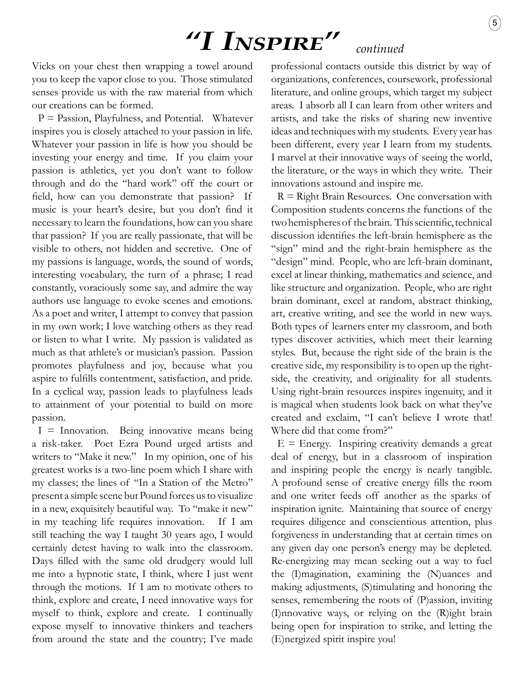# *"I Inspire" continued*

Vicks on your chest then wrapping a towel around you to keep the vapor close to you. Those stimulated senses provide us with the raw material from which our creations can be formed.

 $P =$  Passion, Playfulness, and Potential. Whatever inspires you is closely attached to your passion in life. Whatever your passion in life is how you should be investing your energy and time. If you claim your passion is athletics, yet you don't want to follow through and do the "hard work" off the court or field, how can you demonstrate that passion? If music is your heart's desire, but you don't find it necessary to learn the foundations, how can you share that passion? If you are really passionate, that will be visible to others, not hidden and secretive. One of my passions is language, words, the sound of words, interesting vocabulary, the turn of a phrase; I read constantly, voraciously some say, and admire the way authors use language to evoke scenes and emotions. As a poet and writer, I attempt to convey that passion in my own work; I love watching others as they read or listen to what I write. My passion is validated as much as that athlete's or musician's passion. Passion promotes playfulness and joy, because what you aspire to fulfills contentment, satisfaction, and pride. In a cyclical way, passion leads to playfulness leads to attainment of your potential to build on more passion.

 $I = Innovation.$  Being innovative means being a risk-taker. Poet Ezra Pound urged artists and writers to "Make it new." In my opinion, one of his greatest works is a two-line poem which I share with my classes; the lines of "In a Station of the Metro" present a simple scene but Pound forces us to visualize in a new, exquisitely beautiful way. To "make it new" in my teaching life requires innovation. If I am still teaching the way I taught 30 years ago, I would certainly detest having to walk into the classroom. Days filled with the same old drudgery would lull me into a hypnotic state, I think, where I just went through the motions. If I am to motivate others to think, explore and create, I need innovative ways for myself to think, explore and create. I continually expose myself to innovative thinkers and teachers from around the state and the country; I've made

professional contacts outside this district by way of organizations, conferences, coursework, professional literature, and online groups, which target my subject areas. I absorb all I can learn from other writers and artists, and take the risks of sharing new inventive ideas and techniques with my students. Every year has been different, every year I learn from my students. I marvel at their innovative ways of seeing the world, the literature, or the ways in which they write. Their innovations astound and inspire me.

 $R =$  Right Brain Resources. One conversation with Composition students concerns the functions of the two hemispheres of the brain. This scientific, technical discussion identifies the left-brain hemisphere as the "sign" mind and the right-brain hemisphere as the "design" mind. People, who are left-brain dominant, excel at linear thinking, mathematics and science, and like structure and organization. People, who are right brain dominant, excel at random, abstract thinking, art, creative writing, and see the world in new ways. Both types of learners enter my classroom, and both types discover activities, which meet their learning styles. But, because the right side of the brain is the creative side, my responsibility is to open up the rightside, the creativity, and originality for all students. Using right-brain resources inspires ingenuity, and it is magical when students look back on what they've created and exclaim, "I can't believe I wrote that! Where did that come from?"

 $E =$  Energy. Inspiring creativity demands a great deal of energy, but in a classroom of inspiration and inspiring people the energy is nearly tangible. A profound sense of creative energy fills the room and one writer feeds off another as the sparks of inspiration ignite. Maintaining that source of energy requires diligence and conscientious attention, plus forgiveness in understanding that at certain times on any given day one person's energy may be depleted. Re-energizing may mean seeking out a way to fuel the (I)magination, examining the (N)uances and making adjustments, (S)timulating and honoring the senses, remembering the roots of (P)assion, inviting (I)nnovative ways, or relying on the (R)ight brain being open for inspiration to strike, and letting the (E)nergized spirit inspire you!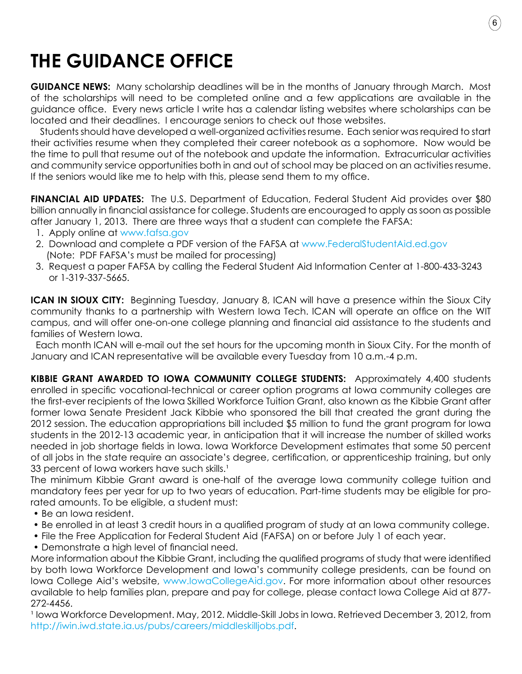### **THE GUIDANCE OFFICE**

**GUIDANCE NEWS:** Many scholarship deadlines will be in the months of January through March. Most of the scholarships will need to be completed online and a few applications are available in the guidance office. Every news article I write has a calendar listing websites where scholarships can be located and their deadlines. I encourage seniors to check out those websites.

6

 Students should have developed a well-organized activities resume. Each senior was required to start their activities resume when they completed their career notebook as a sophomore. Now would be the time to pull that resume out of the notebook and update the information. Extracurricular activities and community service opportunities both in and out of school may be placed on an activities resume. If the seniors would like me to help with this, please send them to my office.

**FINANCIAL AID UPDATES:** The U.S. Department of Education, Federal Student Aid provides over \$80 billion annually in financial assistance for college. Students are encouraged to apply as soon as possible after January 1, 2013. There are three ways that a student can complete the FAFSA:

- 1. Apply online at www.fafsa.gov
- 2. Download and complete a PDF version of the FAFSA at www.FederalStudentAid.ed.gov (Note: PDF FAFSA's must be mailed for processing)
- 3. Request a paper FAFSA by calling the Federal Student Aid Information Center at 1-800-433-3243 or 1-319-337-5665.

**ICAN IN SIOUX CITY:** Beginning Tuesday, January 8, ICAN will have a presence within the Sioux City community thanks to a partnership with Western Iowa Tech. ICAN will operate an office on the WIT campus, and will offer one-on-one college planning and financial aid assistance to the students and families of Western Iowa.

 Each month ICAN will e-mail out the set hours for the upcoming month in Sioux City. For the month of January and ICAN representative will be available every Tuesday from 10 a.m.-4 p.m.

**Kibbie Grant Awarded to Iowa Community College Students:** Approximately 4,400 students enrolled in specific vocational-technical or career option programs at Iowa community colleges are the first-ever recipients of the Iowa Skilled Workforce Tuition Grant, also known as the Kibbie Grant after former Iowa Senate President Jack Kibbie who sponsored the bill that created the grant during the 2012 session. The education appropriations bill included \$5 million to fund the grant program for Iowa students in the 2012-13 academic year, in anticipation that it will increase the number of skilled works needed in job shortage fields in Iowa. Iowa Workforce Development estimates that some 50 percent of all jobs in the state require an associate's degree, certification, or apprenticeship training, but only 33 percent of Iowa workers have such skills.<sup>1</sup>

The minimum Kibbie Grant award is one-half of the average Iowa community college tuition and mandatory fees per year for up to two years of education. Part-time students may be eligible for prorated amounts. To be eligible, a student must:

- Be an Iowa resident.
- Be enrolled in at least 3 credit hours in a qualified program of study at an Iowa community college.
- File the Free Application for Federal Student Aid (FAFSA) on or before July 1 of each year.
- Demonstrate a high level of financial need.

More information about the Kibbie Grant, including the qualified programs of study that were identified by both Iowa Workforce Development and Iowa's community college presidents, can be found on Iowa College Aid's website, www.IowaCollegeAid.gov. For more information about other resources available to help families plan, prepare and pay for college, please contact Iowa College Aid at 877- 272-4456.

<sup>1</sup> Iowa Workforce Development. May, 2012. Middle-Skill Jobs in Iowa. Retrieved December 3, 2012, from http://iwin.iwd.state.ia.us/pubs/careers/middleskilljobs.pdf.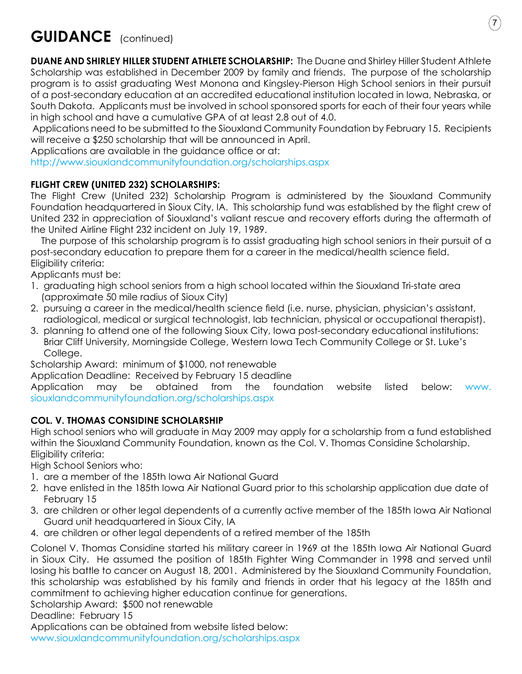

### **GUIDANCE** (continued)

**DUANE AND SHIRLEY HILLER STUDENT ATHLETE SCHOLARSHIP:** The Duane and Shirley Hiller Student Athlete Scholarship was established in December 2009 by family and friends. The purpose of the scholarship program is to assist graduating West Monona and Kingsley-Pierson High School seniors in their pursuit of a post-secondary education at an accredited educational institution located in Iowa, Nebraska, or South Dakota. Applicants must be involved in school sponsored sports for each of their four years while in high school and have a cumulative GPA of at least 2.8 out of 4.0.

 Applications need to be submitted to the Siouxland Community Foundation by February 15. Recipients will receive a \$250 scholarship that will be announced in April.

Applications are available in the guidance office or at:

http://www.siouxlandcommunityfoundation.org/scholarships.aspx

### **FLIGHT CREW (UNITED 232) SCHOLARSHIPS:**

The Flight Crew (United 232) Scholarship Program is administered by the Siouxland Community Foundation headquartered in Sioux City, IA. This scholarship fund was established by the flight crew of United 232 in appreciation of Siouxland's valiant rescue and recovery efforts during the aftermath of the United Airline Flight 232 incident on July 19, 1989.

 The purpose of this scholarship program is to assist graduating high school seniors in their pursuit of a post-secondary education to prepare them for a career in the medical/health science field. Eligibility criteria:

Applicants must be:

- 1. graduating high school seniors from a high school located within the Siouxland Tri-state area (approximate 50 mile radius of Sioux City)
- 2. pursuing a career in the medical/health science field (i.e. nurse, physician, physician's assistant, radiological, medical or surgical technologist, lab technician, physical or occupational therapist).
- 3. planning to attend one of the following Sioux City, Iowa post-secondary educational institutions: Briar Cliff University, Morningside College, Western Iowa Tech Community College or St. Luke's College.

Scholarship Award: minimum of \$1000, not renewable

Application Deadline: Received by February 15 deadline

Application may be obtained from the foundation website listed below: www. siouxlandcommunityfoundation.org/scholarships.aspx

### **COL. V. THOMAS CONSIDINE SCHOLARSHIP**

High school seniors who will graduate in May 2009 may apply for a scholarship from a fund established within the Siouxland Community Foundation, known as the Col. V. Thomas Considine Scholarship. Eligibility criteria:

High School Seniors who:

- 1. are a member of the 185th Iowa Air National Guard
- 2. have enlisted in the 185th Iowa Air National Guard prior to this scholarship application due date of February 15
- 3. are children or other legal dependents of a currently active member of the 185th Iowa Air National Guard unit headquartered in Sioux City, IA
- 4. are children or other legal dependents of a retired member of the 185th

Colonel V. Thomas Considine started his military career in 1969 at the 185th Iowa Air National Guard in Sioux City. He assumed the position of 185th Fighter Wing Commander in 1998 and served until losing his battle to cancer on August 18, 2001. Administered by the Siouxland Community Foundation, this scholarship was established by his family and friends in order that his legacy at the 185th and commitment to achieving higher education continue for generations.

Scholarship Award: \$500 not renewable

Deadline: February 15

Applications can be obtained from website listed below:

www.siouxlandcommunityfoundation.org/scholarships.aspx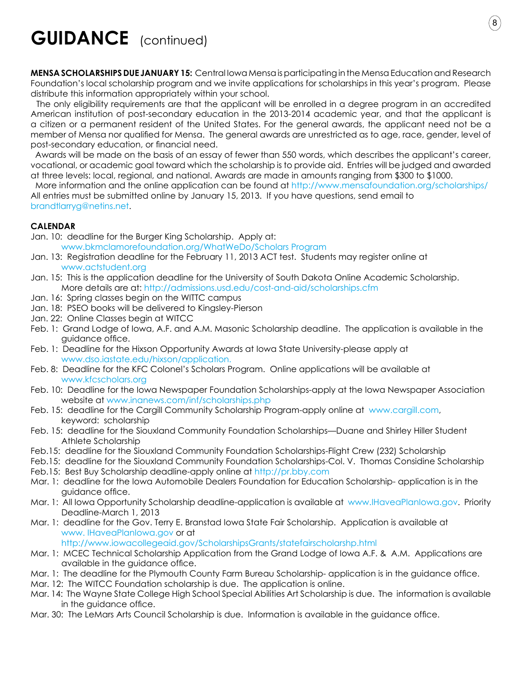### **GUIDANCE** (continued)

**MENSA SCHOLARSHIPS DUE JANUARY 15:** Central Iowa Mensa is participating in the Mensa Education and Research Foundation's local scholarship program and we invite applications for scholarships in this year's program. Please distribute this information appropriately within your school.

8

 The only eligibility requirements are that the applicant will be enrolled in a degree program in an accredited American institution of post-secondary education in the 2013-2014 academic year, and that the applicant is a citizen or a permanent resident of the United States. For the general awards, the applicant need not be a member of Mensa nor qualified for Mensa. The general awards are unrestricted as to age, race, gender, level of post-secondary education, or financial need.

 Awards will be made on the basis of an essay of fewer than 550 words, which describes the applicant's career, vocational, or academic goal toward which the scholarship is to provide aid. Entries will be judged and awarded at three levels: local, regional, and national. Awards are made in amounts ranging from \$300 to \$1000.

 More information and the online application can be found at http://www.mensafoundation.org/scholarships/ All entries must be submitted online by January 15, 2013. If you have questions, send email to brandtlarryg@netins.net.

#### **CALENDAR**

Jan. 10: deadline for the Burger King Scholarship. Apply at:

www.bkmclamorefoundation.org/WhatWeDo/Scholars Program

- Jan. 13: Registration deadline for the February 11, 2013 ACT test. Students may register online at www.actstudent.org
- Jan. 15: This is the application deadline for the University of South Dakota Online Academic Scholarship. More details are at: http://admissions.usd.edu/cost-and-aid/scholarships.cfm
- Jan. 16: Spring classes begin on the WITTC campus
- Jan. 18: PSEO books will be delivered to Kingsley-Pierson
- Jan. 22: Online Classes begin at WITCC
- Feb. 1: Grand Lodge of Iowa, A.F. and A.M. Masonic Scholarship deadline. The application is available in the guidance office.
- Feb. 1: Deadline for the Hixson Opportunity Awards at Iowa State University-please apply at www.dso.iastate.edu/hixson/application.
- Feb. 8: Deadline for the KFC Colonel's Scholars Program. Online applications will be available at www.kfcscholars.org
- Feb. 10: Deadline for the Iowa Newspaper Foundation Scholarships-apply at the Iowa Newspaper Association website at www.inanews.com/inf/scholarships.php
- Feb. 15: deadline for the Cargill Community Scholarship Program-apply online at www.cargill.com, keyword: scholarship
- Feb. 15: deadline for the Siouxland Community Foundation Scholarships—Duane and Shirley Hiller Student Athlete Scholarship
- Feb.15: deadline for the Siouxland Community Foundation Scholarships-Flight Crew (232) Scholarship
- Feb.15: deadline for the Siouxland Community Foundation Scholarships-Col. V. Thomas Considine Scholarship
- Feb.15: Best Buy Scholarship deadline-apply online at http://pr.bby.com
- Mar. 1: deadline for the Iowa Automobile Dealers Foundation for Education Scholarship- application is in the guidance office.
- Mar. 1: All Iowa Opportunity Scholarship deadline-application is available at www.IHaveaPlanIowa.gov. Priority Deadline-March 1, 2013
- Mar. 1: deadline for the Gov. Terry E. Branstad Iowa State Fair Scholarship. Application is available at www. IHaveaPlanIowa.gov or at

http://www.iowacollegeaid.gov/ScholarshipsGrants/statefairscholarshp.html

- Mar. 1: MCEC Technical Scholarship Application from the Grand Lodge of Iowa A.F. & A.M. Applications are available in the guidance office.
- Mar. 1: The deadline for the Plymouth County Farm Bureau Scholarship- application is in the guidance office.
- Mar. 12: The WITCC Foundation scholarship is due. The application is online.
- Mar. 14: The Wayne State College High School Special Abilities Art Scholarship is due. The information is available in the guidance office.
- Mar. 30: The LeMars Arts Council Scholarship is due. Information is available in the guidance office.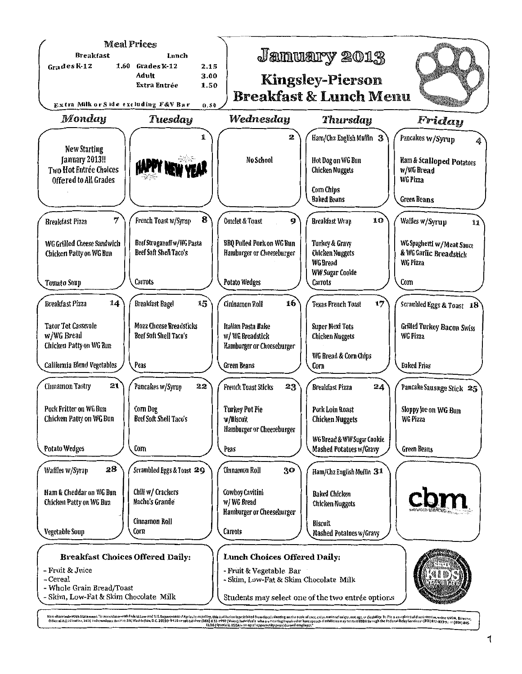

Non-discrimination Sistement- 'In accordance with Federal Jow and U.S. Department of Aprication Epity initiation is probabled from discriminating anthe hasts afree, color, anional origin, ex. age, or disability. To file a